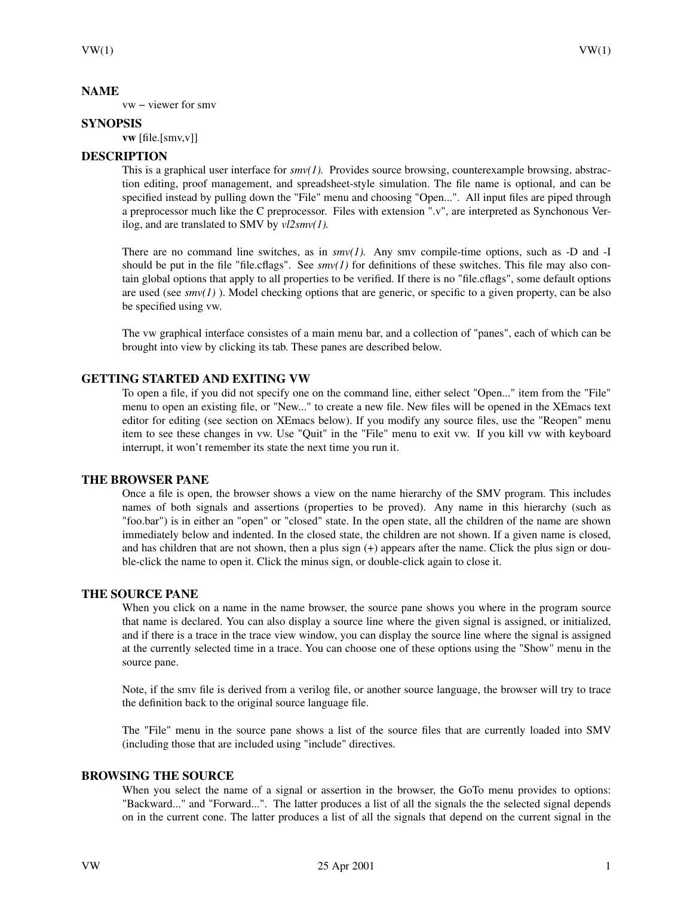### **NAME**

vw − viewer for smv

### **SYNOPSIS**

**vw** [file.[smv,v]]

# **DESCRIPTION**

This is a graphical user interface for  $smv(1)$ . Provides source browsing, counterexample browsing, abstraction editing, proof management, and spreadsheet-style simulation. The file name is optional, and can be specified instead by pulling down the "File" menu and choosing "Open...". All input files are piped through a preprocessor much like the C preprocessor. Files with extension ".v", are interpreted as Synchonous Verilog, and are translated to SMV by *vl2smv(1).*

There are no command line switches, as in *smv(1).* Any smv compile-time options, such as -D and -I should be put in the file "file.cflags". See  $smv(1)$  for definitions of these switches. This file may also contain global options that apply to all properties to be verified. If there is no "file.cflags", some default options are used (see  $smv(I)$ ). Model checking options that are generic, or specific to a given property, can be also be specified using vw.

The vw graphical interface consistes of a main menu bar, and a collection of "panes", each of which can be brought into view by clicking its tab. These panes are described below.

# **GETTING STARTED AND EXITING VW**

To open a file, if you did not specify one on the command line, either select "Open..." item from the "File" menu to open an existing file, or "New..." to create a new file. New files will be opened in the XEmacs text editor for editing (see section on XEmacs below). If you modify any source files, use the "Reopen" menu item to see these changes in vw. Use "Quit" in the "File" menu to exit vw. If you kill vw with keyboard interrupt, it won't remember its state the next time you run it.

# **THE BROWSER PANE**

Once a file is open, the browser shows a view on the name hierarchy of the SMV program. This includes names of both signals and assertions (properties to be proved). Any name in this hierarchy (such as "foo.bar") is in either an "open" or "closed" state. In the open state, all the children of the name are shown immediately below and indented. In the closed state, the children are not shown. If a given name is closed, and has children that are not shown, then a plus sign (+) appears after the name. Click the plus sign or double-click the name to open it. Click the minus sign, or double-click again to close it.

# **THE SOURCE PANE**

When you click on a name in the name browser, the source pane shows you where in the program source that name is declared. You can also display a source line where the given signal is assigned, or initialized, and if there is a trace in the trace view window, you can display the source line where the signal is assigned at the currently selected time in a trace. You can choose one of these options using the "Show" menu in the source pane.

Note, if the smv file is derived from a verilog file, or another source language, the browser will try to trace the definition back to the original source language file.

The "File" menu in the source pane shows a list of the source files that are currently loaded into SMV (including those that are included using "include" directives.

# **BROWSING THE SOURCE**

When you select the name of a signal or assertion in the browser, the GoTo menu provides to options: "Backward..." and "Forward...". The latter produces a list of all the signals the the selected signal depends on in the current cone. The latter produces a list of all the signals that depend on the current signal in the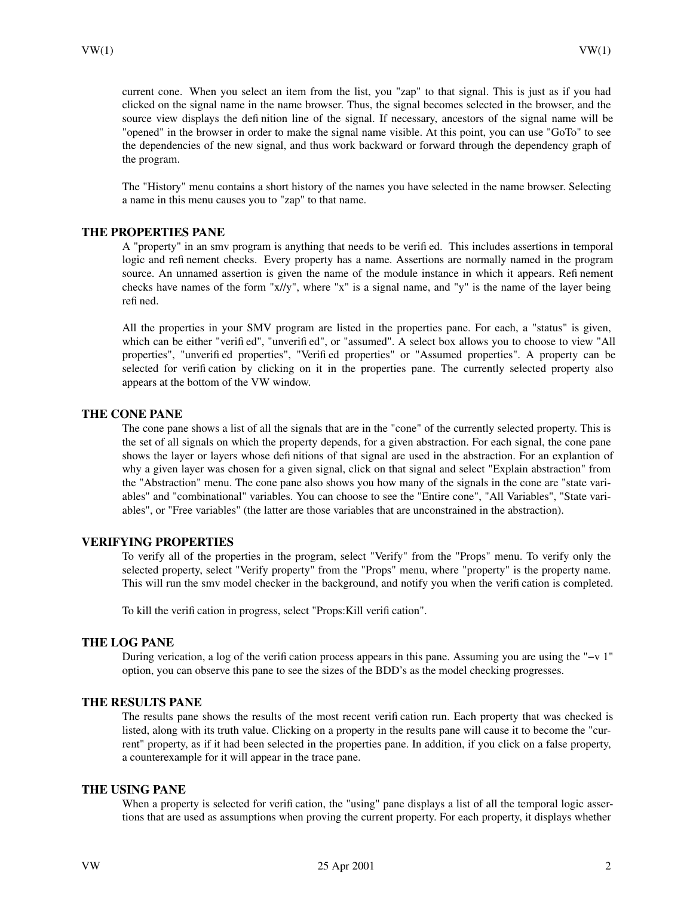current cone. When you select an item from the list, you "zap" to that signal. This is just as if you had clicked on the signal name in the name browser. Thus, the signal becomes selected in the browser, and the source view displays the definition line of the signal. If necessary, ancestors of the signal name will be "opened" in the browser in order to make the signal name visible. At this point, you can use "GoTo" to see the dependencies of the new signal, and thus work backward or forward through the dependency graph of the program.

The "History" menu contains a short history of the names you have selected in the name browser. Selecting a name in this menu causes you to "zap" to that name.

#### **THE PROPERTIES PANE**

A "property" in an smv program is anything that needs to be verified. This includes assertions in temporal logic and refinement checks. Every property has a name. Assertions are normally named in the program source. An unnamed assertion is given the name of the module instance in which it appears. Refinement checks have names of the form "x//y", where "x" is a signal name, and "y" is the name of the layer being refined.

All the properties in your SMV program are listed in the properties pane. For each, a "status" is given, which can be either "verified", "unverified", or "assumed". A select box allows you to choose to view "All properties", "unverified properties", "Verified properties" or "Assumed properties". A property can be selected for verification by clicking on it in the properties pane. The currently selected property also appears at the bottom of the VW window.

#### **THE CONE PANE**

The cone pane shows a list of all the signals that are in the "cone" of the currently selected property. This is the set of all signals on which the property depends, for a given abstraction. For each signal, the cone pane shows the layer or layers whose definitions of that signal are used in the abstraction. For an explantion of why a given layer was chosen for a given signal, click on that signal and select "Explain abstraction" from the "Abstraction" menu. The cone pane also shows you how many of the signals in the cone are "state variables" and "combinational" variables. You can choose to see the "Entire cone", "All Variables", "State variables", or "Free variables" (the latter are those variables that are unconstrained in the abstraction).

#### **VERIFYING PROPERTIES**

To verify all of the properties in the program, select "Verify" from the "Props" menu. To verify only the selected property, select "Verify property" from the "Props" menu, where "property" is the property name. This will run the smv model checker in the background, and notify you when the verification is completed.

To kill the verification in progress, select "Props:Kill verification".

#### **THE LOG PANE**

During verication, a log of the verification process appears in this pane. Assuming you are using the "−v 1" option, you can observe this pane to see the sizes of the BDD's as the model checking progresses.

#### **THE RESULTS PANE**

The results pane shows the results of the most recent verification run. Each property that was checked is listed, along with its truth value. Clicking on a property in the results pane will cause it to become the "current" property, as if it had been selected in the properties pane. In addition, if you click on a false property, a counterexample for it will appear in the trace pane.

#### **THE USING PANE**

When a property is selected for verification, the "using" pane displays a list of all the temporal logic assertions that are used as assumptions when proving the current property. For each property, it displays whether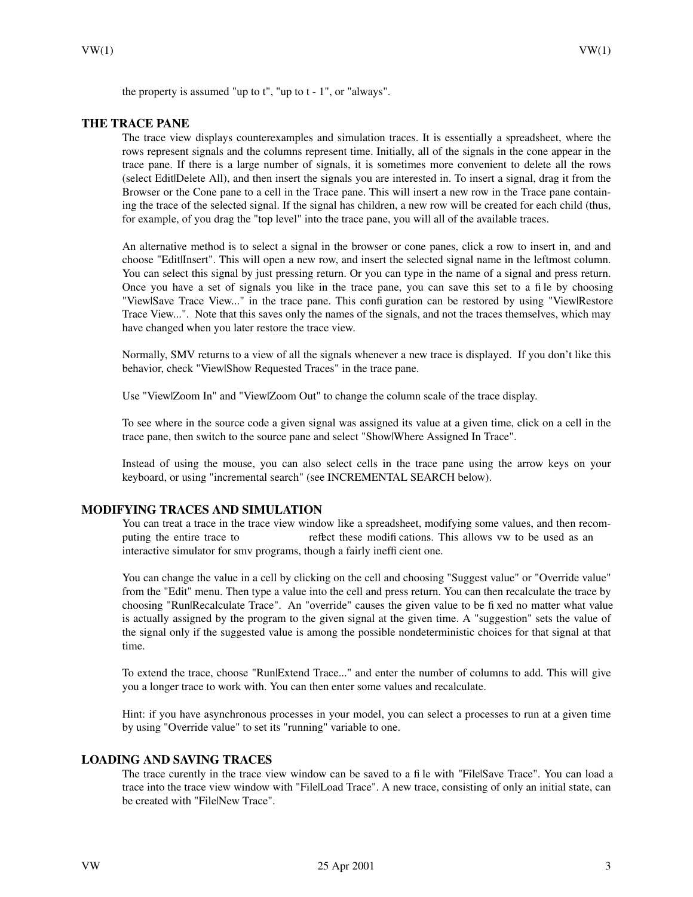the property is assumed "up to t", "up to t - 1", or "always".

#### **THE TRACE PANE**

The trace view displays counterexamples and simulation traces. It is essentially a spreadsheet, where the rows represent signals and the columns represent time. Initially, all of the signals in the cone appear in the trace pane. If there is a large number of signals, it is sometimes more convenient to delete all the rows (select Edit|Delete All), and then insert the signals you are interested in. To insert a signal, drag it from the Browser or the Cone pane to a cell in the Trace pane. This will insert a new row in the Trace pane containing the trace of the selected signal. If the signal has children, a new row will be created for each child (thus, for example, of you drag the "top level" into the trace pane, you will all of the available traces.

An alternative method is to select a signal in the browser or cone panes, click a row to insert in, and and choose "Edit|Insert". This will open a new row, and insert the selected signal name in the leftmost column. You can select this signal by just pressing return. Or you can type in the name of a signal and press return. Once you have a set of signals you like in the trace pane, you can save this set to a file by choosing "View|Save Trace View..." in the trace pane. This configuration can be restored by using "View|Restore Trace View...". Note that this saves only the names of the signals, and not the traces themselves, which may have changed when you later restore the trace view.

Normally, SMV returns to a view of all the signals wheneveranew trace is displayed. If you don't like this behavior, check "View|Show Requested Traces" in the trace pane.

Use "View|Zoom In" and "View|Zoom Out" to change the column scale of the trace display.

To see where in the source code a given signal was assigned its value at a given time, click on a cell in the trace pane, then switch to the source pane and select "Show|Where Assigned In Trace".

Instead of using the mouse, you can also select cells in the trace pane using the arrow keys on your keyboard, or using "incremental search" (see INCREMENTAL SEARCH below).

# **MODIFYING TRACES AND SIMULATION**

You can treat a trace in the trace view window like a spreadsheet, modifying some values, and then recomputing the entire trace to reflect these modifications. This allows vw to be used as an interactive simulator for smv programs, though a fairly inefficient one.

You can change the value in a cell by clicking on the cell and choosing "Suggest value" or "Override value" from the "Edit" menu. Then type a value into the cell and press return. You can then recalculate the trace by choosing "Run|Recalculate Trace". An "override" causes the given value to be fixed no matter what value is actually assigned by the program to the given signal at the given time. A "suggestion" sets the value of the signal only if the suggested value is among the possible nondeterministic choices for that signal at that time.

To extend the trace, choose "Run|Extend Trace..." and enter the number of columns to add. This will give you a longer trace to work with. You can then enter some values and recalculate.

Hint: if you have asynchronous processes in your model, you can select a processes to run at a given time by using "Override value" to set its "running" variable to one.

### **LOADING AND SAVING TRACES**

The trace curently in the trace view window can be saved to a file with "File|Save Trace". You can load a trace into the trace view window with "File|Load Trace". A new trace, consisting of only an initial state, can be created with "File|New Trace".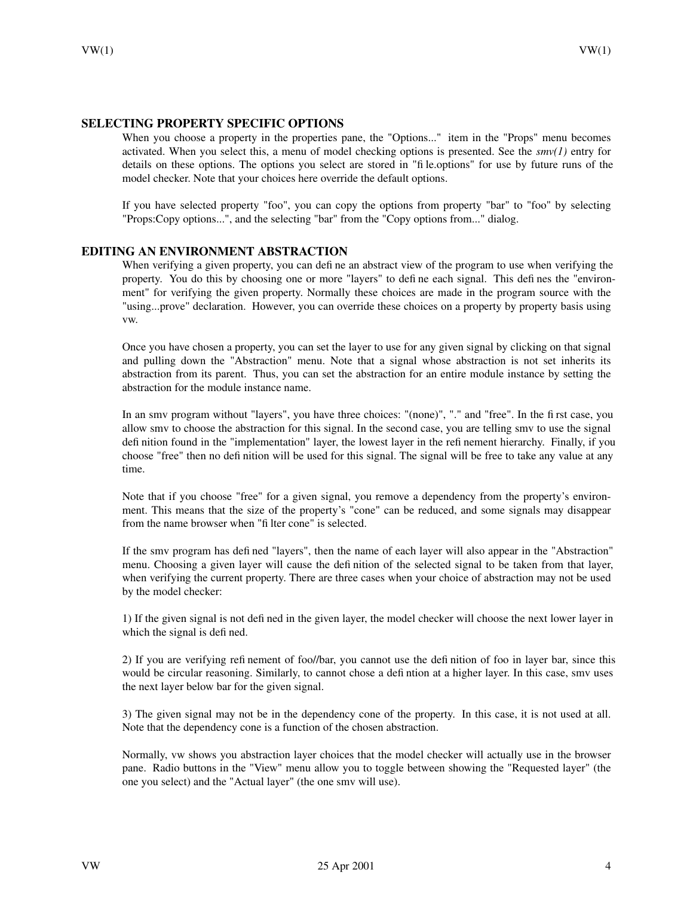### **SELECTING PROPERTY SPECIFIC OPTIONS**

When you choose a property in the properties pane, the "Options..." item in the "Props" menu becomes activated. When you select this, a menu of model checking options is presented. See the  $smv(1)$  entry for details on these options. The options you select are stored in "file.options" for use by future runs of the model checker. Note that your choices here override the default options.

If you have selected property "foo", you can copy the options from property "bar" to "foo" by selecting "Props:Copy options...", and the selecting "bar" from the "Copy options from..." dialog.

### **EDITING AN ENVIRONMENT ABSTRACTION**

When verifying a given property, you can define an abstract view of the program to use when verifying the property. You do this by choosing one or more "layers" to define each signal. This defines the "environment" for verifying the given property. Normally these choices are made in the program source with the "using...prove" declaration. However, you can override these choices on a property by property basis using vw.

Once you have chosen a property, you can set the layer to use for any given signal by clicking on that signal and pulling down the "Abstraction" menu. Note that a signal whose abstraction is not set inherits its abstraction from its parent. Thus, you can set the abstraction for an entire module instance by setting the abstraction for the module instance name.

In an smv program without "layers", you have three choices: "(none)", "." and "free". In the first case, you allow smv to choose the abstraction for this signal. In the second case, you are telling smv to use the signal definition found in the "implementation" layer, the lowest layer in the refinement hierarchy. Finally, if you choose "free" then no definition will be used for this signal. The signal will be free to take any value at any time.

Note that if you choose "free" for a given signal, you remove a dependency from the property's environment. This means that the size of the property's "cone" can be reduced, and some signals may disappear from the name browser when "filter cone" is selected.

If the smv program has defined "layers", then the name of each layer will also appear in the "Abstraction" menu. Choosing a given layer will cause the definition of the selected signal to be taken from that layer, when verifying the current property. There are three cases when your choice of abstraction may not be used by the model checker:

1) If the given signal is not defined in the given layer, the model checker will choose the next lower layer in which the signal is defined.

2) If you are verifying refinement of foo//bar, you cannot use the definition of foo in layer bar, since this would be circular reasoning. Similarly, to cannot chose a defintion at a higher layer. In this case, smv uses the next layer below bar for the given signal.

3) The given signal may not be in the dependency cone of the property. In this case, it is not used at all. Note that the dependency cone is a function of the chosen abstraction.

Normally, vw shows you abstraction layer choices that the model checker will actually use in the browser pane. Radio buttons in the "View" menu allow you to toggle between showing the "Requested layer" (the one you select) and the "Actual layer" (the one smv will use).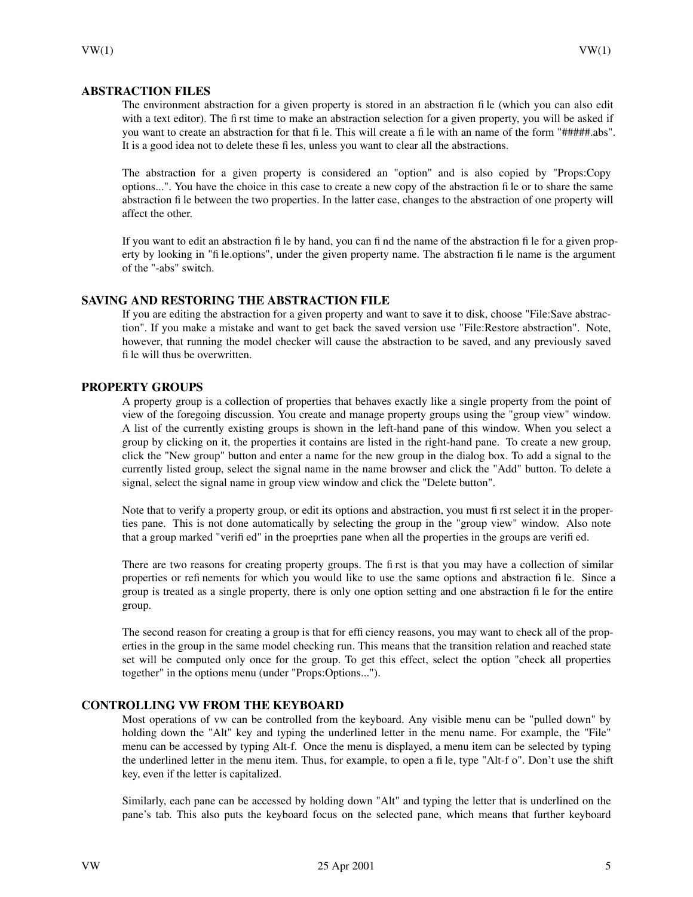### **ABSTRACTION FILES**

The environment abstraction for a given property is stored in an abstraction file (which you can also edit with a text editor). The first time to make an abstraction selection for a given property, you will be asked if you want to create an abstraction for that file. This will create a file with an name of the form "#####.abs". It is a good idea not to delete these files, unless you want to clear all the abstractions.

The abstraction for a given property is considered an "option" and is also copied by "Props:Copy options...". You have the choice in this case to create a new copy of the abstraction file or to share the same abstraction file between the two properties. In the latter case, changes to the abstraction of one property will affect the other.

If you want to edit an abstraction file by hand, you can find the name of the abstraction file for a given property by looking in "file.options", under the given property name. The abstraction file name is the argument of the "-abs" switch.

# **SAVING AND RESTORING THE ABSTRACTION FILE**

If you are editing the abstraction for a given property and want to save it to disk, choose "File:Save abstraction". If you make a mistake and want to get back the saved version use "File:Restore abstraction". Note, however, that running the model checker will cause the abstraction to be saved, and any previously saved file will thus be overwritten.

### **PROPERTY GROUPS**

A property group is a collection of properties that behaves exactly like a single property from the point of view of the foregoing discussion. You create and manage property groups using the "group view" window. A list of the currently existing groups is shown in the left-hand pane of this window. When you select a group by clicking on it, the properties it contains are listed in the right-hand pane. To create a new group, click the "New group" button and enter a name for the new group in the dialog box. To add a signal to the currently listed group, select the signal name in the name browser and click the "Add" button. To delete a signal, select the signal name in group view window and click the "Delete button".

Note that to verify a property group, or edit its options and abstraction, you must first select it in the properties pane. This is not done automatically by selecting the group in the "group view" window. Also note that a group marked "verified" in the proeprties pane when all the properties in the groups are verified.

There are two reasons for creating property groups. The first is that you may have a collection of similar properties or refinements for which you would like to use the same options and abstraction file. Since a group is treated as a single property, there is only one option setting and one abstraction file for the entire group.

The second reason for creating a group is that for efficiency reasons, you may want to check all of the properties in the group in the same model checking run. This means that the transition relation and reached state set will be computed only once for the group. To get this effect, select the option "check all properties together" in the options menu (under "Props:Options...").

### **CONTROLLING VW FROM THE KEYBOARD**

Most operations of vw can be controlled from the keyboard. Any visible menu can be "pulled down" by holding down the "Alt" key and typing the underlined letter in the menu name. For example, the "File" menu can be accessed by typing Alt-f. Once the menu is displayed, a menu item can be selected by typing the underlined letter in the menu item. Thus, for example, to open a file, type "Alt-f o". Don't use the shift key, even if the letter is capitalized.

Similarly, each pane can be accessed by holding down "Alt" and typing the letter that is underlined on the pane's tab. This also puts the keyboard focus on the selected pane, which means that further keyboard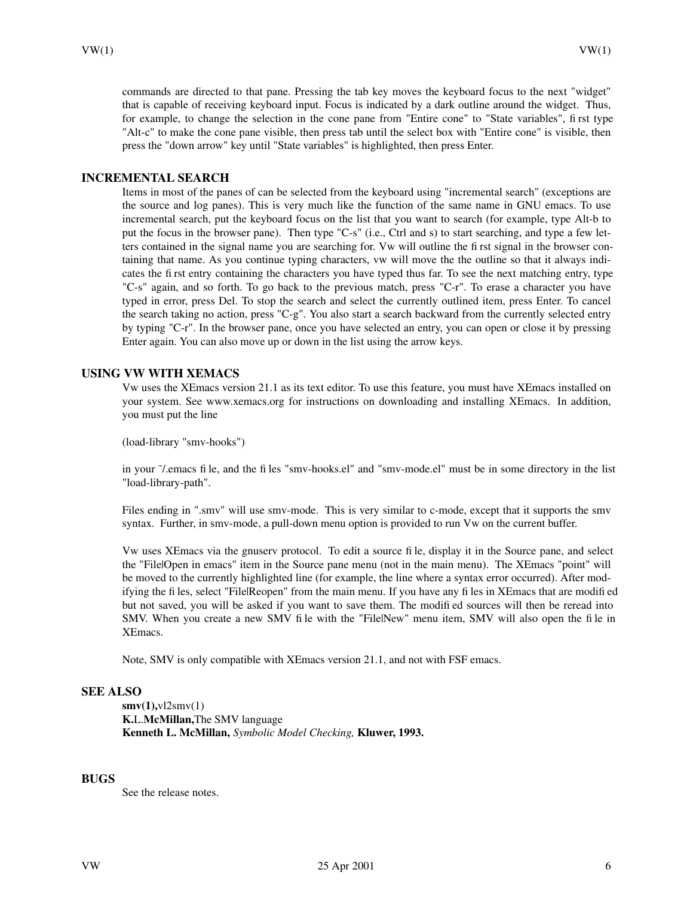commands are directed to that pane. Pressing the tab key moves the keyboard focus to the next "widget" that is capable of receiving keyboard input. Focus is indicated by a dark outline around the widget. Thus, for example, to change the selection in the cone pane from "Entire cone" to "State variables", first type "Alt-c" to make the cone pane visible, then press tab until the select box with "Entire cone" is visible, then press the "down arrow" key until "State variables" is highlighted, then press Enter.

# **INCREMENTAL SEARCH**

Items in most of the panes of can be selected from the keyboard using "incremental search" (exceptions are the source and log panes). This is very much like the function of the same name in GNU emacs. To use incremental search, put the keyboard focus on the list that you want to search (for example, type Alt-b to put the focus in the browser pane). Then type "C-s" (i.e., Ctrl and s) to start searching, and type a few letters contained in the signal name you are searching for. Vw will outline the first signal in the browser containing that name. As you continue typing characters, vw will move the the outline so that it always indicates the first entry containing the characters you have typed thus far. To see the next matching entry, type "C-s" again, and so forth. To go back to the previous match, press "C-r". To erase a character you have typed in error, press Del. To stop the search and select the currently outlined item, press Enter. To cancel the search taking no action, press "C-g". You also start a search backward from the currently selected entry by typing "C-r". In the browser pane, once you have selected an entry, you can open or close it by pressing Enter again. You can also move up or down in the list using the arrow keys.

### **USING VW WITH XEMACS**

Vw uses the XEmacs version 21.1 as its text editor. To use this feature, you must have XEmacs installed on your system. See www.xemacs.org for instructions on downloading and installing XEmacs. In addition, you must put the line

(load-library "smv-hooks")

in your ˜/.emacs file, and the files "smv-hooks.el" and "smv-mode.el" must be in some directory in the list "load-library-path".

Files ending in ".smv" will use smv-mode. This is very similar to c-mode, except that it supports the smv syntax. Further, in smv-mode, a pull-down menu option is provided to run Vw on the current buffer.

Vw uses XEmacs via the gnuserv protocol. To edit a source file, display it in the Source pane, and select the "File|Open in emacs" item in the Source pane menu (not in the main menu). The XEmacs "point" will be moved to the currently highlighted line (for example, the line where a syntax error occurred). After modifying the files, select "File|Reopen" from the main menu. If you have any files in XEmacs that are modified but not saved, you will be asked if you want to save them. The modified sources will then be reread into SMV. When you create a new SMV file with the "File|New" menu item, SMV will also open the file in XEmacs.

Note, SMV is only compatible with XEmacs version 21.1, and not with FSF emacs.

# **SEE ALSO**

**smv(1),**vl2smv(1) **K.**L.**McMillan,**The SMV language **Kenneth L. McMillan,** *Symbolic Model Checking,* **Kluwer, 1993.**

### **BUGS**

See the release notes.